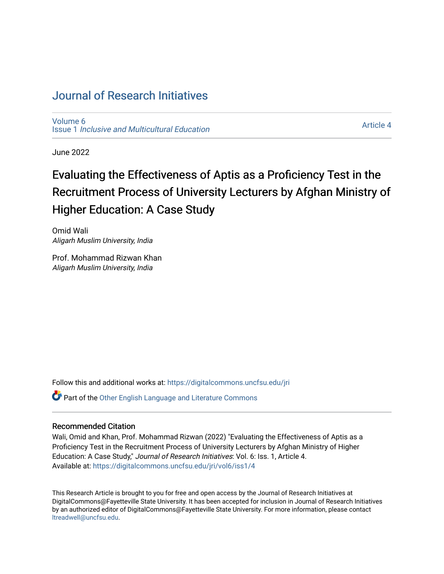# [Journal of Research Initiatives](https://digitalcommons.uncfsu.edu/jri)

[Volume 6](https://digitalcommons.uncfsu.edu/jri/vol6) Issue 1 [Inclusive and Multicultural Education](https://digitalcommons.uncfsu.edu/jri/vol6/iss1) 

[Article 4](https://digitalcommons.uncfsu.edu/jri/vol6/iss1/4) 

June 2022

# Evaluating the Effectiveness of Aptis as a Proficiency Test in the Recruitment Process of University Lecturers by Afghan Ministry of Higher Education: A Case Study

Omid Wali Aligarh Muslim University, India

Prof. Mohammad Rizwan Khan Aligarh Muslim University, India

Follow this and additional works at: [https://digitalcommons.uncfsu.edu/jri](https://digitalcommons.uncfsu.edu/jri?utm_source=digitalcommons.uncfsu.edu%2Fjri%2Fvol6%2Fiss1%2F4&utm_medium=PDF&utm_campaign=PDFCoverPages) 

Part of the [Other English Language and Literature Commons](https://network.bepress.com/hgg/discipline/462?utm_source=digitalcommons.uncfsu.edu%2Fjri%2Fvol6%2Fiss1%2F4&utm_medium=PDF&utm_campaign=PDFCoverPages)

## Recommended Citation

Wali, Omid and Khan, Prof. Mohammad Rizwan (2022) "Evaluating the Effectiveness of Aptis as a Proficiency Test in the Recruitment Process of University Lecturers by Afghan Ministry of Higher Education: A Case Study," Journal of Research Initiatives: Vol. 6: Iss. 1, Article 4. Available at: [https://digitalcommons.uncfsu.edu/jri/vol6/iss1/4](https://digitalcommons.uncfsu.edu/jri/vol6/iss1/4?utm_source=digitalcommons.uncfsu.edu%2Fjri%2Fvol6%2Fiss1%2F4&utm_medium=PDF&utm_campaign=PDFCoverPages) 

This Research Article is brought to you for free and open access by the Journal of Research Initiatives at DigitalCommons@Fayetteville State University. It has been accepted for inclusion in Journal of Research Initiatives by an authorized editor of DigitalCommons@Fayetteville State University. For more information, please contact [ltreadwell@uncfsu.edu](mailto:ltreadwell@uncfsu.edu).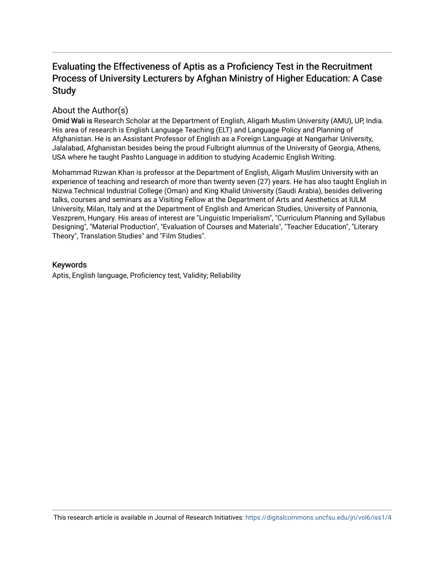# Evaluating the Effectiveness of Aptis as a Proficiency Test in the Recruitment Process of University Lecturers by Afghan Ministry of Higher Education: A Case Study

# About the Author(s)

Omid Wali is Research Scholar at the Department of English, Aligarh Muslim University (AMU), UP, India. His area of research is English Language Teaching (ELT) and Language Policy and Planning of Afghanistan. He is an Assistant Professor of English as a Foreign Language at Nangarhar University, Jalalabad, Afghanistan besides being the proud Fulbright alumnus of the University of Georgia, Athens, USA where he taught Pashto Language in addition to studying Academic English Writing.

Mohammad Rizwan Khan is professor at the Department of English, Aligarh Muslim University with an experience of teaching and research of more than twenty seven (27) years. He has also taught English in Nizwa Technical Industrial College (Oman) and King Khalid University (Saudi Arabia), besides delivering talks, courses and seminars as a Visiting Fellow at the Department of Arts and Aesthetics at IULM University, Milan, Italy and at the Department of English and American Studies, University of Pannonia, Veszprem, Hungary. His areas of interest are "Linguistic Imperialism", "Curriculum Planning and Syllabus Designing", "Material Production", "Evaluation of Courses and Materials", "Teacher Education", "Literary Theory", Translation Studies" and "Film Studies".

# Keywords

Aptis, English language, Proficiency test, Validity; Reliability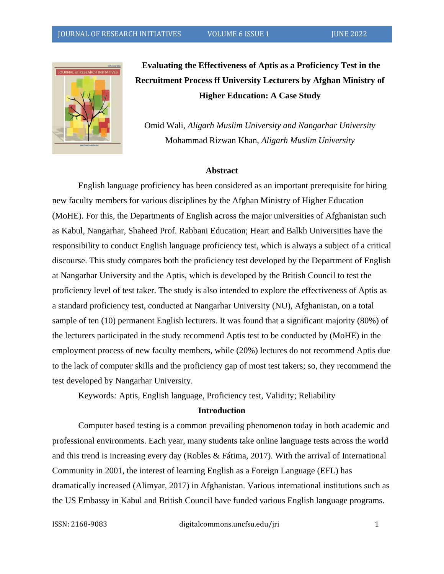

**Evaluating the Effectiveness of Aptis as a Proficiency Test in the Recruitment Process ff University Lecturers by Afghan Ministry of Higher Education: A Case Study** 

Omid Wali*, Aligarh Muslim University and Nangarhar University* Mohammad Rizwan Khan, *Aligarh Muslim University*

#### **Abstract**

English language proficiency has been considered as an important prerequisite for hiring new faculty members for various disciplines by the Afghan Ministry of Higher Education (MoHE). For this, the Departments of English across the major universities of Afghanistan such as Kabul, Nangarhar, Shaheed Prof. Rabbani Education; Heart and Balkh Universities have the responsibility to conduct English language proficiency test, which is always a subject of a critical discourse. This study compares both the proficiency test developed by the Department of English at Nangarhar University and the Aptis, which is developed by the British Council to test the proficiency level of test taker. The study is also intended to explore the effectiveness of Aptis as a standard proficiency test, conducted at Nangarhar University (NU), Afghanistan, on a total sample of ten (10) permanent English lecturers. It was found that a significant majority (80%) of the lecturers participated in the study recommend Aptis test to be conducted by (MoHE) in the employment process of new faculty members, while (20%) lectures do not recommend Aptis due to the lack of computer skills and the proficiency gap of most test takers; so, they recommend the test developed by Nangarhar University.

Keywords*:* Aptis, English language, Proficiency test, Validity; Reliability

#### **Introduction**

Computer based testing is a common prevailing phenomenon today in both academic and professional environments. Each year, many students take online language tests across the world and this trend is increasing every day (Robles & Fátima, 2017). With the arrival of International Community in 2001, the interest of learning English as a Foreign Language (EFL) has dramatically increased (Alimyar, 2017) in Afghanistan. Various international institutions such as the US Embassy in Kabul and British Council have funded various English language programs.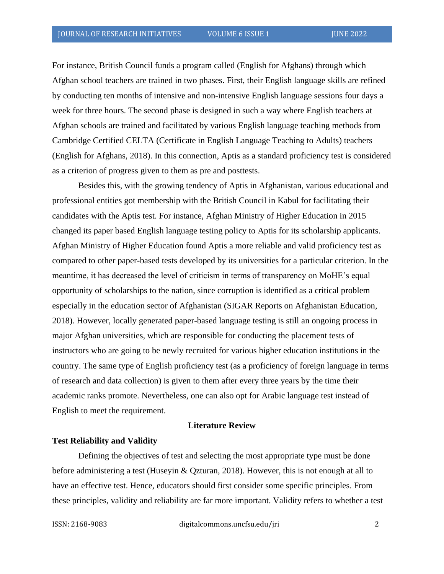For instance, British Council funds a program called (English for Afghans) through which Afghan school teachers are trained in two phases. First, their English language skills are refined by conducting ten months of intensive and non-intensive English language sessions four days a week for three hours. The second phase is designed in such a way where English teachers at Afghan schools are trained and facilitated by various English language teaching methods from Cambridge Certified CELTA (Certificate in English Language Teaching to Adults) teachers (English for Afghans, 2018). In this connection, Aptis as a standard proficiency test is considered as a criterion of progress given to them as pre and posttests.

Besides this, with the growing tendency of Aptis in Afghanistan, various educational and professional entities got membership with the British Council in Kabul for facilitating their candidates with the Aptis test. For instance, Afghan Ministry of Higher Education in 2015 changed its paper based English language testing policy to Aptis for its scholarship applicants. Afghan Ministry of Higher Education found Aptis a more reliable and valid proficiency test as compared to other paper-based tests developed by its universities for a particular criterion. In the meantime, it has decreased the level of criticism in terms of transparency on MoHE's equal opportunity of scholarships to the nation, since corruption is identified as a critical problem especially in the education sector of Afghanistan (SIGAR Reports on Afghanistan Education, 2018). However, locally generated paper-based language testing is still an ongoing process in major Afghan universities, which are responsible for conducting the placement tests of instructors who are going to be newly recruited for various higher education institutions in the country. The same type of English proficiency test (as a proficiency of foreign language in terms of research and data collection) is given to them after every three years by the time their academic ranks promote. Nevertheless, one can also opt for Arabic language test instead of English to meet the requirement.

#### **Literature Review**

#### **Test Reliability and Validity**

Defining the objectives of test and selecting the most appropriate type must be done before administering a test (Huseyin & Qzturan, 2018). However, this is not enough at all to have an effective test. Hence, educators should first consider some specific principles. From these principles, validity and reliability are far more important. Validity refers to whether a test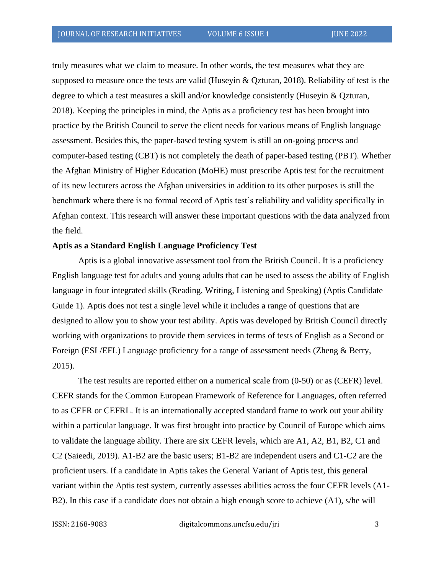truly measures what we claim to measure. In other words, the test measures what they are supposed to measure once the tests are valid (Huseyin & Qzturan, 2018). Reliability of test is the degree to which a test measures a skill and/or knowledge consistently (Huseyin & Qzturan, 2018). Keeping the principles in mind, the Aptis as a proficiency test has been brought into practice by the British Council to serve the client needs for various means of English language assessment. Besides this, the paper-based testing system is still an on-going process and computer-based testing (CBT) is not completely the death of paper-based testing (PBT). Whether the Afghan Ministry of Higher Education (MoHE) must prescribe Aptis test for the recruitment of its new lecturers across the Afghan universities in addition to its other purposes is still the benchmark where there is no formal record of Aptis test's reliability and validity specifically in Afghan context. This research will answer these important questions with the data analyzed from the field.

#### **Aptis as a Standard English Language Proficiency Test**

Aptis is a global innovative assessment tool from the British Council. It is a proficiency English language test for adults and young adults that can be used to assess the ability of English language in four integrated skills (Reading, Writing, Listening and Speaking) (Aptis Candidate Guide 1). Aptis does not test a single level while it includes a range of questions that are designed to allow you to show your test ability. Aptis was developed by British Council directly working with organizations to provide them services in terms of tests of English as a Second or Foreign (ESL/EFL) Language proficiency for a range of assessment needs (Zheng & Berry, 2015).

The test results are reported either on a numerical scale from (0-50) or as (CEFR) level. CEFR stands for the Common European Framework of Reference for Languages, often referred to as CEFR or CEFRL. It is an internationally accepted standard frame to work out your ability within a particular language. It was first brought into practice by Council of Europe which aims to validate the language ability. There are six CEFR levels, which are A1, A2, B1, B2, C1 and C2 (Saieedi, 2019). A1-B2 are the basic users; B1-B2 are independent users and C1-C2 are the proficient users. If a candidate in Aptis takes the General Variant of Aptis test, this general variant within the Aptis test system, currently assesses abilities across the four CEFR levels (A1- B2). In this case if a candidate does not obtain a high enough score to achieve (A1), s/he will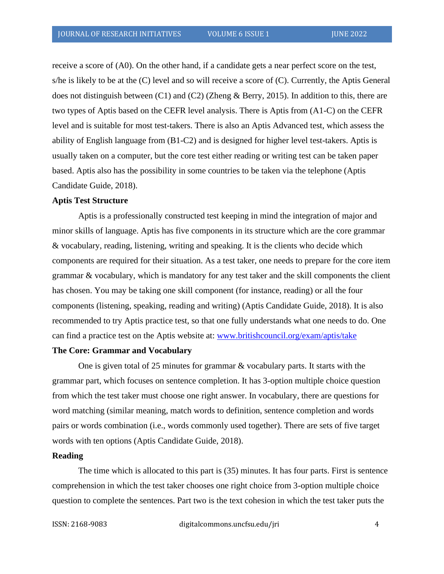receive a score of (A0). On the other hand, if a candidate gets a near perfect score on the test, s/he is likely to be at the (C) level and so will receive a score of (C). Currently, the Aptis General does not distinguish between (C1) and (C2) (Zheng & Berry, 2015). In addition to this, there are two types of Aptis based on the CEFR level analysis. There is Aptis from (A1-C) on the CEFR level and is suitable for most test-takers. There is also an Aptis Advanced test, which assess the ability of English language from (B1-C2) and is designed for higher level test-takers. Aptis is usually taken on a computer, but the core test either reading or writing test can be taken paper based. Aptis also has the possibility in some countries to be taken via the telephone (Aptis Candidate Guide, 2018).

#### **Aptis Test Structure**

Aptis is a professionally constructed test keeping in mind the integration of major and minor skills of language. Aptis has five components in its structure which are the core grammar & vocabulary, reading, listening, writing and speaking. It is the clients who decide which components are required for their situation. As a test taker, one needs to prepare for the core item grammar & vocabulary, which is mandatory for any test taker and the skill components the client has chosen. You may be taking one skill component (for instance, reading) or all the four components (listening, speaking, reading and writing) (Aptis Candidate Guide, 2018). It is also recommended to try Aptis practice test, so that one fully understands what one needs to do. One can find a practice test on the Aptis website at: [www.britishcouncil.org/exam/aptis/take](http://www.britishcouncil.org/exam/aptis/take) 

#### **The Core: Grammar and Vocabulary**

 One is given total of 25 minutes for grammar & vocabulary parts. It starts with the grammar part, which focuses on sentence completion. It has 3-option multiple choice question from which the test taker must choose one right answer. In vocabulary, there are questions for word matching (similar meaning, match words to definition, sentence completion and words pairs or words combination (i.e., words commonly used together). There are sets of five target words with ten options (Aptis Candidate Guide, 2018).

#### **Reading**

The time which is allocated to this part is (35) minutes. It has four parts. First is sentence comprehension in which the test taker chooses one right choice from 3-option multiple choice question to complete the sentences. Part two is the text cohesion in which the test taker puts the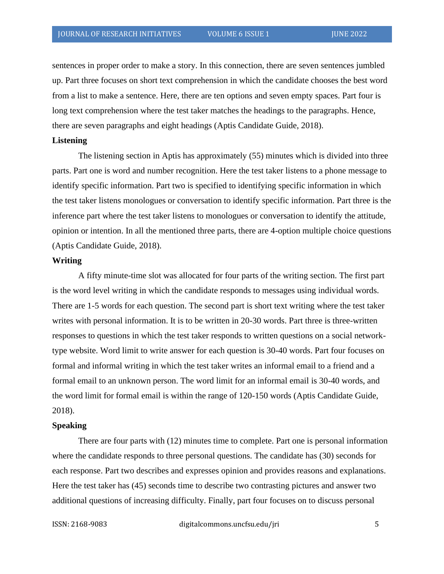sentences in proper order to make a story. In this connection, there are seven sentences jumbled up. Part three focuses on short text comprehension in which the candidate chooses the best word from a list to make a sentence. Here, there are ten options and seven empty spaces. Part four is long text comprehension where the test taker matches the headings to the paragraphs. Hence, there are seven paragraphs and eight headings (Aptis Candidate Guide, 2018).

#### **Listening**

The listening section in Aptis has approximately (55) minutes which is divided into three parts. Part one is word and number recognition. Here the test taker listens to a phone message to identify specific information. Part two is specified to identifying specific information in which the test taker listens monologues or conversation to identify specific information. Part three is the inference part where the test taker listens to monologues or conversation to identify the attitude, opinion or intention. In all the mentioned three parts, there are 4-option multiple choice questions (Aptis Candidate Guide, 2018).

#### **Writing**

A fifty minute-time slot was allocated for four parts of the writing section. The first part is the word level writing in which the candidate responds to messages using individual words. There are 1-5 words for each question. The second part is short text writing where the test taker writes with personal information. It is to be written in 20-30 words. Part three is three-written responses to questions in which the test taker responds to written questions on a social networktype website. Word limit to write answer for each question is 30-40 words. Part four focuses on formal and informal writing in which the test taker writes an informal email to a friend and a formal email to an unknown person. The word limit for an informal email is 30-40 words, and the word limit for formal email is within the range of 120-150 words (Aptis Candidate Guide, 2018).

#### **Speaking**

There are four parts with (12) minutes time to complete. Part one is personal information where the candidate responds to three personal questions. The candidate has (30) seconds for each response. Part two describes and expresses opinion and provides reasons and explanations. Here the test taker has (45) seconds time to describe two contrasting pictures and answer two additional questions of increasing difficulty. Finally, part four focuses on to discuss personal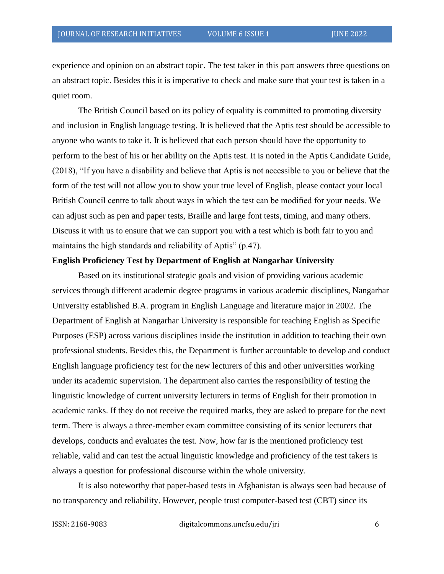experience and opinion on an abstract topic. The test taker in this part answers three questions on an abstract topic. Besides this it is imperative to check and make sure that your test is taken in a quiet room.

The British Council based on its policy of equality is committed to promoting diversity and inclusion in English language testing. It is believed that the Aptis test should be accessible to anyone who wants to take it. It is believed that each person should have the opportunity to perform to the best of his or her ability on the Aptis test. It is noted in the Aptis Candidate Guide, (2018), "If you have a disability and believe that Aptis is not accessible to you or believe that the form of the test will not allow you to show your true level of English, please contact your local British Council centre to talk about ways in which the test can be modified for your needs. We can adjust such as pen and paper tests, Braille and large font tests, timing, and many others. Discuss it with us to ensure that we can support you with a test which is both fair to you and maintains the high standards and reliability of Aptis" (p.47).

#### **English Proficiency Test by Department of English at Nangarhar University**

Based on its institutional strategic goals and vision of providing various academic services through different academic degree programs in various academic disciplines, Nangarhar University established B.A. program in English Language and literature major in 2002. The Department of English at Nangarhar University is responsible for teaching English as Specific Purposes (ESP) across various disciplines inside the institution in addition to teaching their own professional students. Besides this, the Department is further accountable to develop and conduct English language proficiency test for the new lecturers of this and other universities working under its academic supervision. The department also carries the responsibility of testing the linguistic knowledge of current university lecturers in terms of English for their promotion in academic ranks. If they do not receive the required marks, they are asked to prepare for the next term. There is always a three-member exam committee consisting of its senior lecturers that develops, conducts and evaluates the test. Now, how far is the mentioned proficiency test reliable, valid and can test the actual linguistic knowledge and proficiency of the test takers is always a question for professional discourse within the whole university.

It is also noteworthy that paper-based tests in Afghanistan is always seen bad because of no transparency and reliability. However, people trust computer-based test (CBT) since its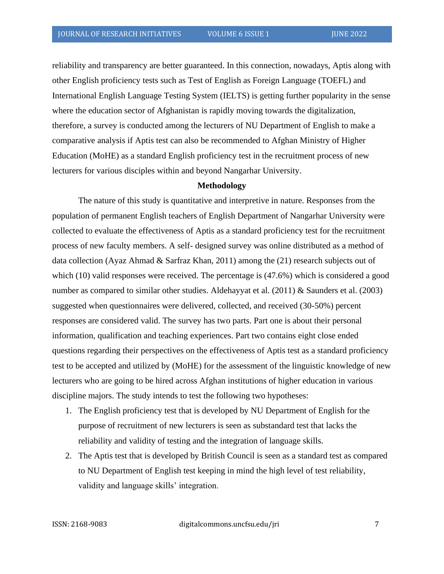reliability and transparency are better guaranteed. In this connection, nowadays, Aptis along with other English proficiency tests such as Test of English as Foreign Language (TOEFL) and International English Language Testing System (IELTS) is getting further popularity in the sense where the education sector of Afghanistan is rapidly moving towards the digitalization, therefore, a survey is conducted among the lecturers of NU Department of English to make a comparative analysis if Aptis test can also be recommended to Afghan Ministry of Higher Education (MoHE) as a standard English proficiency test in the recruitment process of new lecturers for various disciples within and beyond Nangarhar University.

#### **Methodology**

The nature of this study is quantitative and interpretive in nature. Responses from the population of permanent English teachers of English Department of Nangarhar University were collected to evaluate the effectiveness of Aptis as a standard proficiency test for the recruitment process of new faculty members. A self- designed survey was online distributed as a method of data collection (Ayaz Ahmad & Sarfraz Khan, 2011) among the (21) research subjects out of which (10) valid responses were received. The percentage is  $(47.6%)$  which is considered a good number as compared to similar other studies. Aldehayyat et al. (2011) & Saunders et al. (2003) suggested when questionnaires were delivered, collected, and received (30-50%) percent responses are considered valid. The survey has two parts. Part one is about their personal information, qualification and teaching experiences. Part two contains eight close ended questions regarding their perspectives on the effectiveness of Aptis test as a standard proficiency test to be accepted and utilized by (MoHE) for the assessment of the linguistic knowledge of new lecturers who are going to be hired across Afghan institutions of higher education in various discipline majors. The study intends to test the following two hypotheses:

- 1. The English proficiency test that is developed by NU Department of English for the purpose of recruitment of new lecturers is seen as substandard test that lacks the reliability and validity of testing and the integration of language skills.
- 2. The Aptis test that is developed by British Council is seen as a standard test as compared to NU Department of English test keeping in mind the high level of test reliability, validity and language skills' integration.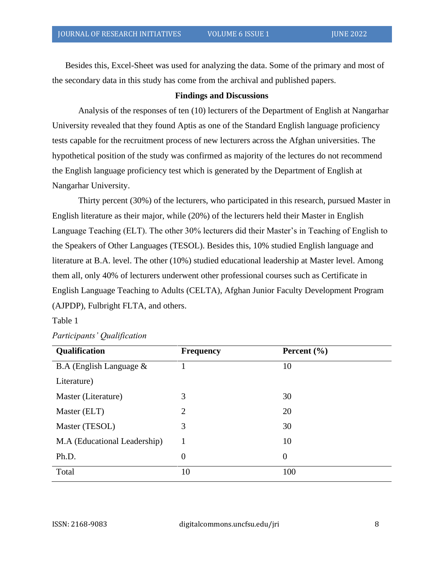Besides this, Excel-Sheet was used for analyzing the data. Some of the primary and most of the secondary data in this study has come from the archival and published papers.

### **Findings and Discussions**

Analysis of the responses of ten (10) lecturers of the Department of English at Nangarhar University revealed that they found Aptis as one of the Standard English language proficiency tests capable for the recruitment process of new lecturers across the Afghan universities. The hypothetical position of the study was confirmed as majority of the lectures do not recommend the English language proficiency test which is generated by the Department of English at Nangarhar University.

Thirty percent (30%) of the lecturers, who participated in this research, pursued Master in English literature as their major, while (20%) of the lecturers held their Master in English Language Teaching (ELT). The other 30% lecturers did their Master's in Teaching of English to the Speakers of Other Languages (TESOL). Besides this, 10% studied English language and literature at B.A. level. The other (10%) studied educational leadership at Master level. Among them all, only 40% of lecturers underwent other professional courses such as Certificate in English Language Teaching to Adults (CELTA), Afghan Junior Faculty Development Program (AJPDP), Fulbright FLTA, and others.

#### Table 1

| Qualification                | <b>Frequency</b> | Percent $(\% )$ |
|------------------------------|------------------|-----------------|
| B.A (English Language $\&$   |                  | 10              |
| Literature)                  |                  |                 |
| Master (Literature)          | 3                | 30              |
| Master (ELT)                 | 2                | 20              |
| Master (TESOL)               | 3                | 30              |
| M.A (Educational Leadership) |                  | 10              |
| Ph.D.                        | $\theta$         | $\overline{0}$  |
| Total                        | 10               | 100             |

|  | Participants' Qualification |
|--|-----------------------------|
|--|-----------------------------|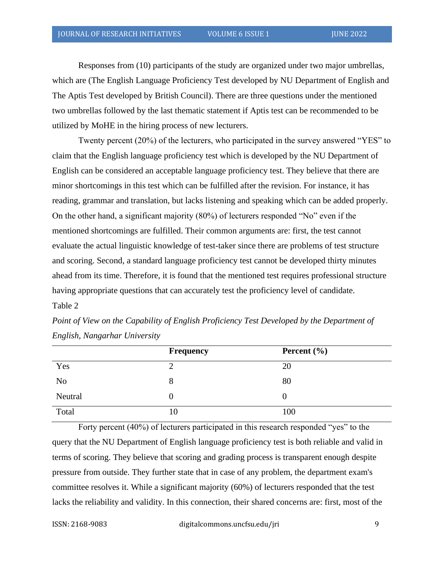Responses from (10) participants of the study are organized under two major umbrellas, which are (The English Language Proficiency Test developed by NU Department of English and The Aptis Test developed by British Council). There are three questions under the mentioned two umbrellas followed by the last thematic statement if Aptis test can be recommended to be utilized by MoHE in the hiring process of new lecturers.

Twenty percent (20%) of the lecturers, who participated in the survey answered "YES" to claim that the English language proficiency test which is developed by the NU Department of English can be considered an acceptable language proficiency test. They believe that there are minor shortcomings in this test which can be fulfilled after the revision. For instance, it has reading, grammar and translation, but lacks listening and speaking which can be added properly. On the other hand, a significant majority (80%) of lecturers responded "No" even if the mentioned shortcomings are fulfilled. Their common arguments are: first, the test cannot evaluate the actual linguistic knowledge of test-taker since there are problems of test structure and scoring. Second, a standard language proficiency test cannot be developed thirty minutes ahead from its time. Therefore, it is found that the mentioned test requires professional structure having appropriate questions that can accurately test the proficiency level of candidate. Table 2

|                | <b>Frequency</b> | Percent $(\% )$ |
|----------------|------------------|-----------------|
| Yes            |                  | 20              |
| N <sub>0</sub> | 8                | 80              |
| Neutral        | O                |                 |
| Total          | 10               | 100             |

*Point of View on the Capability of English Proficiency Test Developed by the Department of English, Nangarhar University* 

Forty percent (40%) of lecturers participated in this research responded "yes" to the query that the NU Department of English language proficiency test is both reliable and valid in terms of scoring. They believe that scoring and grading process is transparent enough despite pressure from outside. They further state that in case of any problem, the department exam's committee resolves it. While a significant majority (60%) of lecturers responded that the test lacks the reliability and validity. In this connection, their shared concerns are: first, most of the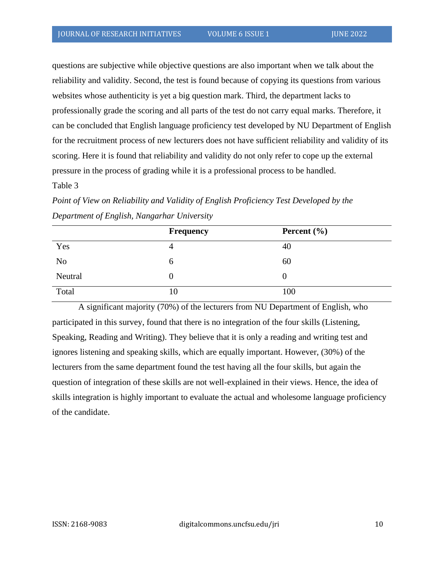questions are subjective while objective questions are also important when we talk about the reliability and validity. Second, the test is found because of copying its questions from various websites whose authenticity is yet a big question mark. Third, the department lacks to professionally grade the scoring and all parts of the test do not carry equal marks. Therefore, it can be concluded that English language proficiency test developed by NU Department of English for the recruitment process of new lecturers does not have sufficient reliability and validity of its scoring. Here it is found that reliability and validity do not only refer to cope up the external pressure in the process of grading while it is a professional process to be handled.

#### Table 3

*Point of View on Reliability and Validity of English Proficiency Test Developed by the Department of English, Nangarhar University*

|                | <b>Frequency</b> | Percent $(\% )$ |
|----------------|------------------|-----------------|
| Yes            | 4                | 40              |
| N <sub>o</sub> | O                | 60              |
| Neutral        | 0                |                 |
| Total          | 10               | 100             |

A significant majority (70%) of the lecturers from NU Department of English, who participated in this survey, found that there is no integration of the four skills (Listening, Speaking, Reading and Writing). They believe that it is only a reading and writing test and ignores listening and speaking skills, which are equally important. However, (30%) of the lecturers from the same department found the test having all the four skills, but again the question of integration of these skills are not well-explained in their views. Hence, the idea of skills integration is highly important to evaluate the actual and wholesome language proficiency of the candidate.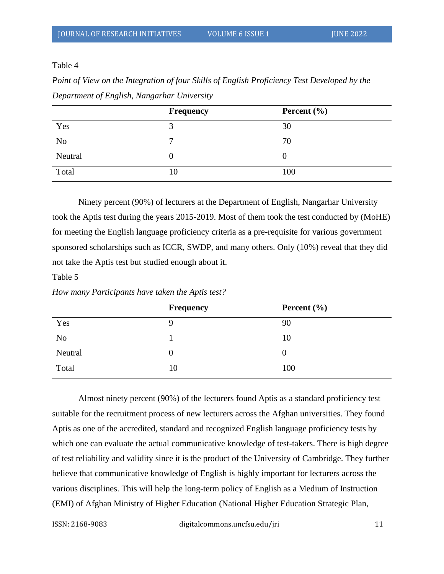Table 4

*Point of View on the Integration of four Skills of English Proficiency Test Developed by the Department of English, Nangarhar University*

|                | <b>Frequency</b> | Percent $(\% )$ |
|----------------|------------------|-----------------|
| Yes            |                  | 30              |
| N <sub>o</sub> | −                | 70              |
| Neutral        | O                |                 |
| Total          | 10               | 100             |

Ninety percent (90%) of lecturers at the Department of English, Nangarhar University took the Aptis test during the years 2015-2019. Most of them took the test conducted by (MoHE) for meeting the English language proficiency criteria as a pre-requisite for various government sponsored scholarships such as ICCR, SWDP, and many others. Only (10%) reveal that they did not take the Aptis test but studied enough about it.

Table 5

*How many Participants have taken the Aptis test?*

|                | Frequency | Percent $(\% )$ |
|----------------|-----------|-----------------|
| Yes            |           | 90              |
| N <sub>o</sub> |           | 10              |
| Neutral        | 0         |                 |
| Total          | 10        | 100             |

Almost ninety percent (90%) of the lecturers found Aptis as a standard proficiency test suitable for the recruitment process of new lecturers across the Afghan universities. They found Aptis as one of the accredited, standard and recognized English language proficiency tests by which one can evaluate the actual communicative knowledge of test-takers. There is high degree of test reliability and validity since it is the product of the University of Cambridge. They further believe that communicative knowledge of English is highly important for lecturers across the various disciplines. This will help the long-term policy of English as a Medium of Instruction (EMI) of Afghan Ministry of Higher Education (National Higher Education Strategic Plan,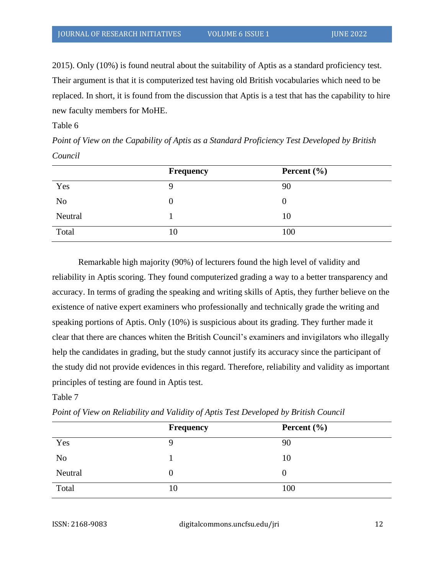2015). Only (10%) is found neutral about the suitability of Aptis as a standard proficiency test. Their argument is that it is computerized test having old British vocabularies which need to be replaced. In short, it is found from the discussion that Aptis is a test that has the capability to hire new faculty members for MoHE.

## Table 6

*Point of View on the Capability of Aptis as a Standard Proficiency Test Developed by British Council*

|                | <b>Frequency</b> | Percent $(\% )$ |
|----------------|------------------|-----------------|
| Yes            |                  | 90              |
| N <sub>o</sub> | 0                |                 |
| Neutral        |                  | 10              |
| Total          | 10               | 100             |

Remarkable high majority (90%) of lecturers found the high level of validity and reliability in Aptis scoring. They found computerized grading a way to a better transparency and accuracy. In terms of grading the speaking and writing skills of Aptis, they further believe on the existence of native expert examiners who professionally and technically grade the writing and speaking portions of Aptis. Only (10%) is suspicious about its grading. They further made it clear that there are chances whiten the British Council's examiners and invigilators who illegally help the candidates in grading, but the study cannot justify its accuracy since the participant of the study did not provide evidences in this regard. Therefore, reliability and validity as important principles of testing are found in Aptis test.

## Table 7

*Point of View on Reliability and Validity of Aptis Test Developed by British Council*

|                | <b>Frequency</b> | Percent $(\% )$ |
|----------------|------------------|-----------------|
| Yes            |                  | 90              |
| N <sub>o</sub> |                  | 10              |
| Neutral        | O                |                 |
| Total          | 10               | 100             |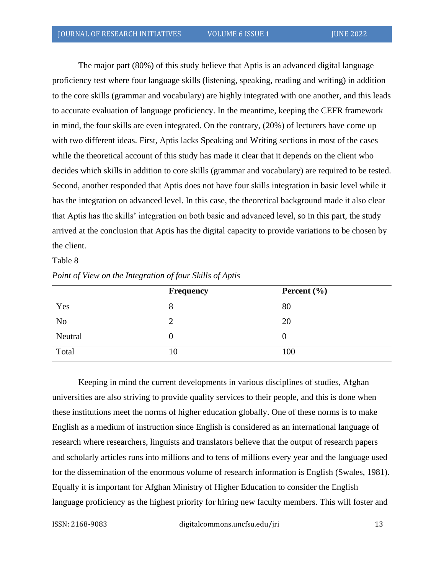The major part (80%) of this study believe that Aptis is an advanced digital language proficiency test where four language skills (listening, speaking, reading and writing) in addition to the core skills (grammar and vocabulary) are highly integrated with one another, and this leads to accurate evaluation of language proficiency. In the meantime, keeping the CEFR framework in mind, the four skills are even integrated. On the contrary, (20%) of lecturers have come up with two different ideas. First, Aptis lacks Speaking and Writing sections in most of the cases while the theoretical account of this study has made it clear that it depends on the client who decides which skills in addition to core skills (grammar and vocabulary) are required to be tested. Second, another responded that Aptis does not have four skills integration in basic level while it has the integration on advanced level. In this case, the theoretical background made it also clear that Aptis has the skills' integration on both basic and advanced level, so in this part, the study arrived at the conclusion that Aptis has the digital capacity to provide variations to be chosen by the client.

#### Table 8

|                | <b>Frequency</b> | Percent $(\% )$ |
|----------------|------------------|-----------------|
| Yes            | 8                | 80              |
| N <sub>o</sub> | 2                | 20              |
| Neutral        | 0                |                 |
| Total          | 10               | 100             |

*Point of View on the Integration of four Skills of Aptis*

Keeping in mind the current developments in various disciplines of studies, Afghan universities are also striving to provide quality services to their people, and this is done when these institutions meet the norms of higher education globally. One of these norms is to make English as a medium of instruction since English is considered as an international language of research where researchers, linguists and translators believe that the output of research papers and scholarly articles runs into millions and to tens of millions every year and the language used for the dissemination of the enormous volume of research information is English (Swales, 1981). Equally it is important for Afghan Ministry of Higher Education to consider the English language proficiency as the highest priority for hiring new faculty members. This will foster and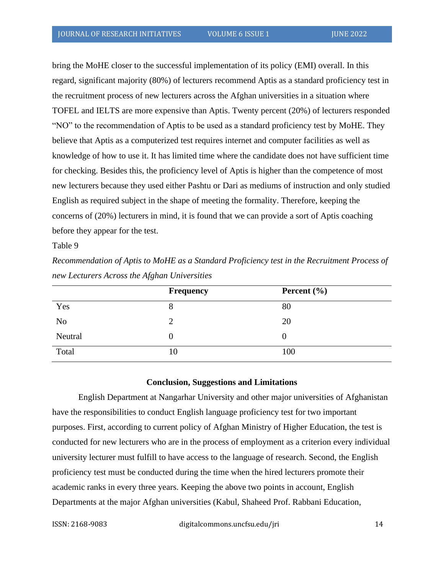bring the MoHE closer to the successful implementation of its policy (EMI) overall. In this regard, significant majority (80%) of lecturers recommend Aptis as a standard proficiency test in the recruitment process of new lecturers across the Afghan universities in a situation where TOFEL and IELTS are more expensive than Aptis. Twenty percent (20%) of lecturers responded "NO" to the recommendation of Aptis to be used as a standard proficiency test by MoHE. They believe that Aptis as a computerized test requires internet and computer facilities as well as knowledge of how to use it. It has limited time where the candidate does not have sufficient time for checking. Besides this, the proficiency level of Aptis is higher than the competence of most new lecturers because they used either Pashtu or Dari as mediums of instruction and only studied English as required subject in the shape of meeting the formality. Therefore, keeping the concerns of (20%) lecturers in mind, it is found that we can provide a sort of Aptis coaching before they appear for the test.

Table 9

*Recommendation of Aptis to MoHE as a Standard Proficiency test in the Recruitment Process of new Lecturers Across the Afghan Universities*

|                | <b>Frequency</b> | Percent $(\% )$ |
|----------------|------------------|-----------------|
| Yes            | 8                | 80              |
| N <sub>o</sub> | 2                | 20              |
| Neutral        | 0                |                 |
| Total          | 10               | 100             |

## **Conclusion, Suggestions and Limitations**

English Department at Nangarhar University and other major universities of Afghanistan have the responsibilities to conduct English language proficiency test for two important purposes. First, according to current policy of Afghan Ministry of Higher Education, the test is conducted for new lecturers who are in the process of employment as a criterion every individual university lecturer must fulfill to have access to the language of research. Second, the English proficiency test must be conducted during the time when the hired lecturers promote their academic ranks in every three years. Keeping the above two points in account, English Departments at the major Afghan universities (Kabul, Shaheed Prof. Rabbani Education,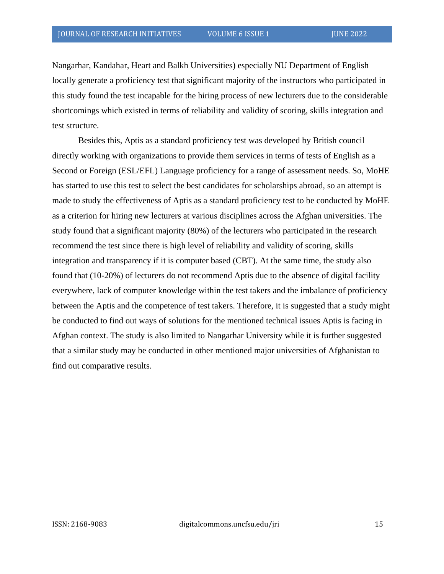Nangarhar, Kandahar, Heart and Balkh Universities) especially NU Department of English locally generate a proficiency test that significant majority of the instructors who participated in this study found the test incapable for the hiring process of new lecturers due to the considerable shortcomings which existed in terms of reliability and validity of scoring, skills integration and test structure.

Besides this, Aptis as a standard proficiency test was developed by British council directly working with organizations to provide them services in terms of tests of English as a Second or Foreign (ESL/EFL) Language proficiency for a range of assessment needs. So, MoHE has started to use this test to select the best candidates for scholarships abroad, so an attempt is made to study the effectiveness of Aptis as a standard proficiency test to be conducted by MoHE as a criterion for hiring new lecturers at various disciplines across the Afghan universities. The study found that a significant majority (80%) of the lecturers who participated in the research recommend the test since there is high level of reliability and validity of scoring, skills integration and transparency if it is computer based (CBT). At the same time, the study also found that (10-20%) of lecturers do not recommend Aptis due to the absence of digital facility everywhere, lack of computer knowledge within the test takers and the imbalance of proficiency between the Aptis and the competence of test takers. Therefore, it is suggested that a study might be conducted to find out ways of solutions for the mentioned technical issues Aptis is facing in Afghan context. The study is also limited to Nangarhar University while it is further suggested that a similar study may be conducted in other mentioned major universities of Afghanistan to find out comparative results.